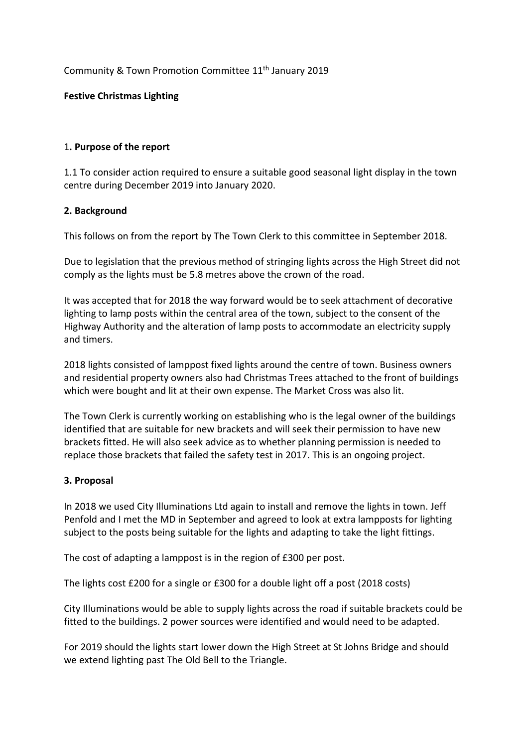# Community & Town Promotion Committee 11<sup>th</sup> January 2019

# **Festive Christmas Lighting**

#### 1**. Purpose of the report**

1.1 To consider action required to ensure a suitable good seasonal light display in the town centre during December 2019 into January 2020.

# **2. Background**

This follows on from the report by The Town Clerk to this committee in September 2018.

Due to legislation that the previous method of stringing lights across the High Street did not comply as the lights must be 5.8 metres above the crown of the road.

It was accepted that for 2018 the way forward would be to seek attachment of decorative lighting to lamp posts within the central area of the town, subject to the consent of the Highway Authority and the alteration of lamp posts to accommodate an electricity supply and timers.

2018 lights consisted of lamppost fixed lights around the centre of town. Business owners and residential property owners also had Christmas Trees attached to the front of buildings which were bought and lit at their own expense. The Market Cross was also lit.

The Town Clerk is currently working on establishing who is the legal owner of the buildings identified that are suitable for new brackets and will seek their permission to have new brackets fitted. He will also seek advice as to whether planning permission is needed to replace those brackets that failed the safety test in 2017. This is an ongoing project.

#### **3. Proposal**

In 2018 we used City Illuminations Ltd again to install and remove the lights in town. Jeff Penfold and I met the MD in September and agreed to look at extra lampposts for lighting subject to the posts being suitable for the lights and adapting to take the light fittings.

The cost of adapting a lamppost is in the region of £300 per post.

The lights cost £200 for a single or £300 for a double light off a post (2018 costs)

City Illuminations would be able to supply lights across the road if suitable brackets could be fitted to the buildings. 2 power sources were identified and would need to be adapted.

For 2019 should the lights start lower down the High Street at St Johns Bridge and should we extend lighting past The Old Bell to the Triangle.